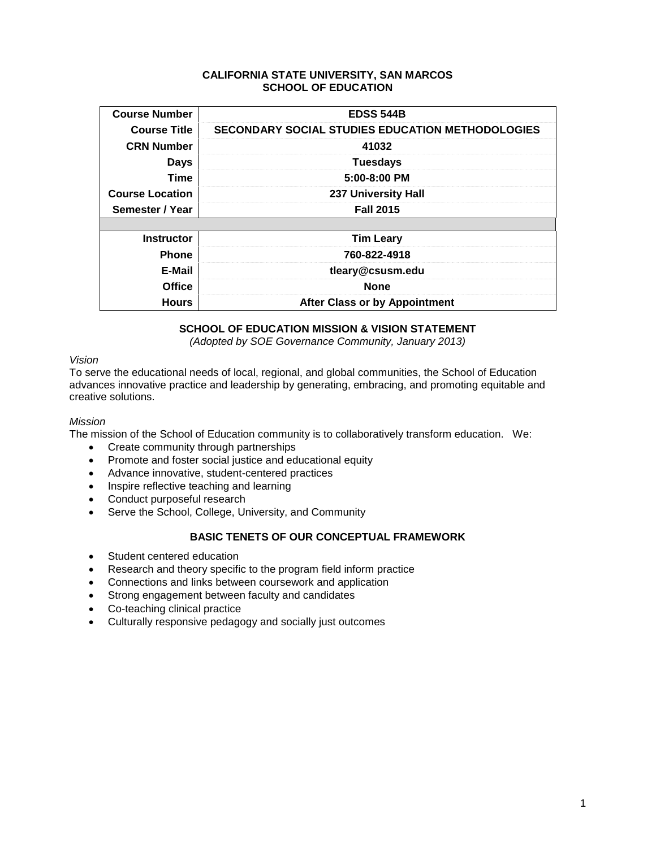### **CALIFORNIA STATE UNIVERSITY, SAN MARCOS SCHOOL OF EDUCATION**

| <b>Course Number</b>   | <b>EDSS 544B</b>                                        |
|------------------------|---------------------------------------------------------|
| <b>Course Title</b>    | <b>SECONDARY SOCIAL STUDIES EDUCATION METHODOLOGIES</b> |
| <b>CRN Number</b>      | 41032                                                   |
| <b>Days</b>            | <b>Tuesdays</b>                                         |
| <b>Time</b>            | 5:00-8:00 PM                                            |
| <b>Course Location</b> | <b>237 University Hall</b>                              |
| Semester / Year        | <b>Fall 2015</b>                                        |
|                        |                                                         |
| <b>Instructor</b>      | <b>Tim Leary</b>                                        |
| <b>Phone</b>           | 760-822-4918                                            |
| E-Mail                 | tleary@csusm.edu                                        |
| <b>Office</b>          | <b>None</b>                                             |
| <b>Hours</b>           | <b>After Class or by Appointment</b>                    |

# **SCHOOL OF EDUCATION MISSION & VISION STATEMENT**

*(Adopted by SOE Governance Community, January 2013)*

### *Vision*

To serve the educational needs of local, regional, and global communities, the School of Education advances innovative practice and leadership by generating, embracing, and promoting equitable and creative solutions.

### *Mission*

The mission of the School of Education community is to collaboratively transform education. We:

- Create community through partnerships
- Promote and foster social justice and educational equity
- Advance innovative, student-centered practices
- Inspire reflective teaching and learning
- Conduct purposeful research
- Serve the School, College, University, and Community

# **BASIC TENETS OF OUR CONCEPTUAL FRAMEWORK**

- Student centered education
- Research and theory specific to the program field inform practice
- Connections and links between coursework and application
- Strong engagement between faculty and candidates
- Co-teaching clinical practice
- Culturally responsive pedagogy and socially just outcomes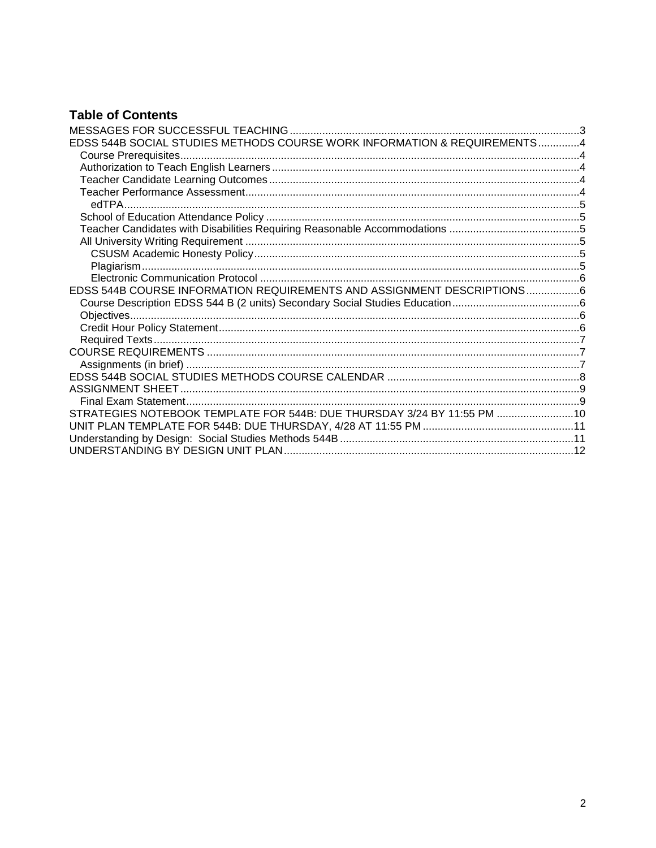# **Table of Contents**

| EDSS 544B SOCIAL STUDIES METHODS COURSE WORK INFORMATION & REQUIREMENTS4 |  |
|--------------------------------------------------------------------------|--|
|                                                                          |  |
|                                                                          |  |
|                                                                          |  |
|                                                                          |  |
|                                                                          |  |
|                                                                          |  |
|                                                                          |  |
|                                                                          |  |
|                                                                          |  |
|                                                                          |  |
|                                                                          |  |
| EDSS 544B COURSE INFORMATION REQUIREMENTS AND ASSIGNMENT DESCRIPTIONS6   |  |
|                                                                          |  |
|                                                                          |  |
|                                                                          |  |
|                                                                          |  |
|                                                                          |  |
|                                                                          |  |
|                                                                          |  |
|                                                                          |  |
|                                                                          |  |
| STRATEGIES NOTEBOOK TEMPLATE FOR 544B: DUE THURSDAY 3/24 BY 11:55 PM  10 |  |
|                                                                          |  |
|                                                                          |  |
|                                                                          |  |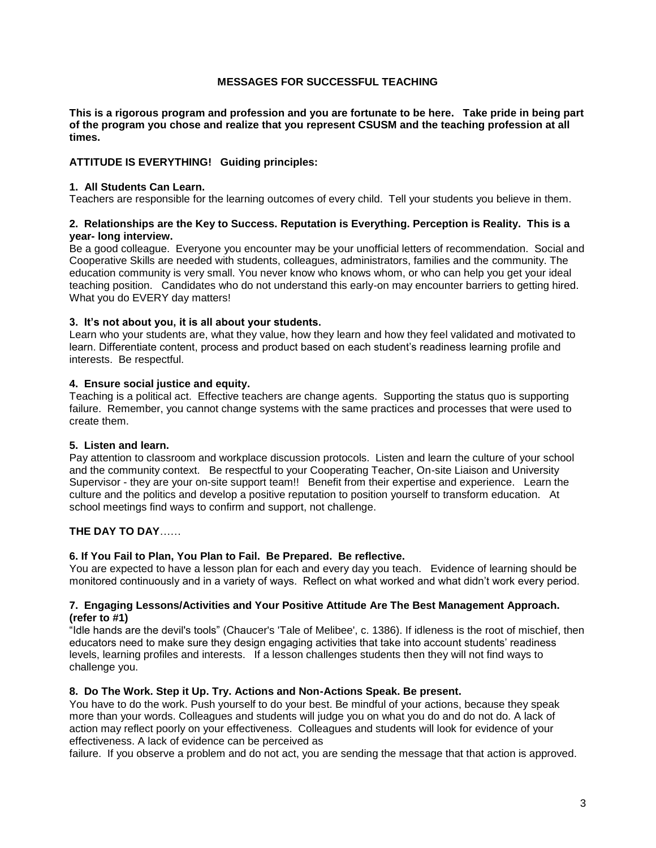# **MESSAGES FOR SUCCESSFUL TEACHING**

<span id="page-2-0"></span>**This is a rigorous program and profession and you are fortunate to be here. Take pride in being part of the program you chose and realize that you represent CSUSM and the teaching profession at all times.**

# **ATTITUDE IS EVERYTHING! Guiding principles:**

#### **1. All Students Can Learn.**

Teachers are responsible for the learning outcomes of every child. Tell your students you believe in them.

### **2. Relationships are the Key to Success. Reputation is Everything. Perception is Reality. This is a year- long interview.**

Be a good colleague. Everyone you encounter may be your unofficial letters of recommendation. Social and Cooperative Skills are needed with students, colleagues, administrators, families and the community. The education community is very small. You never know who knows whom, or who can help you get your ideal teaching position. Candidates who do not understand this early-on may encounter barriers to getting hired. What you do EVERY day matters!

### **3. It's not about you, it is all about your students.**

Learn who your students are, what they value, how they learn and how they feel validated and motivated to learn. Differentiate content, process and product based on each student's readiness learning profile and interests. Be respectful.

### **4. Ensure social justice and equity.**

Teaching is a political act. Effective teachers are change agents. Supporting the status quo is supporting failure. Remember, you cannot change systems with the same practices and processes that were used to create them.

# **5. Listen and learn.**

Pay attention to classroom and workplace discussion protocols. Listen and learn the culture of your school and the community context. Be respectful to your Cooperating Teacher, On-site Liaison and University Supervisor - they are your on-site support team!! Benefit from their expertise and experience. Learn the culture and the politics and develop a positive reputation to position yourself to transform education. At school meetings find ways to confirm and support, not challenge.

# **THE DAY TO DAY**……

#### **6. If You Fail to Plan, You Plan to Fail. Be Prepared. Be reflective.**

You are expected to have a lesson plan for each and every day you teach. Evidence of learning should be monitored continuously and in a variety of ways. Reflect on what worked and what didn't work every period.

#### **7. Engaging Lessons/Activities and Your Positive Attitude Are The Best Management Approach. (refer to #1)**

"Idle hands are the devil's tools" (Chaucer's 'Tale of Melibee', c. 1386). If idleness is the root of mischief, then educators need to make sure they design engaging activities that take into account students' readiness levels, learning profiles and interests. If a lesson challenges students then they will not find ways to challenge you.

#### **8. Do The Work. Step it Up. Try. Actions and Non-Actions Speak. Be present.**

You have to do the work. Push yourself to do your best. Be mindful of your actions, because they speak more than your words. Colleagues and students will judge you on what you do and do not do. A lack of action may reflect poorly on your effectiveness. Colleagues and students will look for evidence of your effectiveness. A lack of evidence can be perceived as

failure. If you observe a problem and do not act, you are sending the message that that action is approved.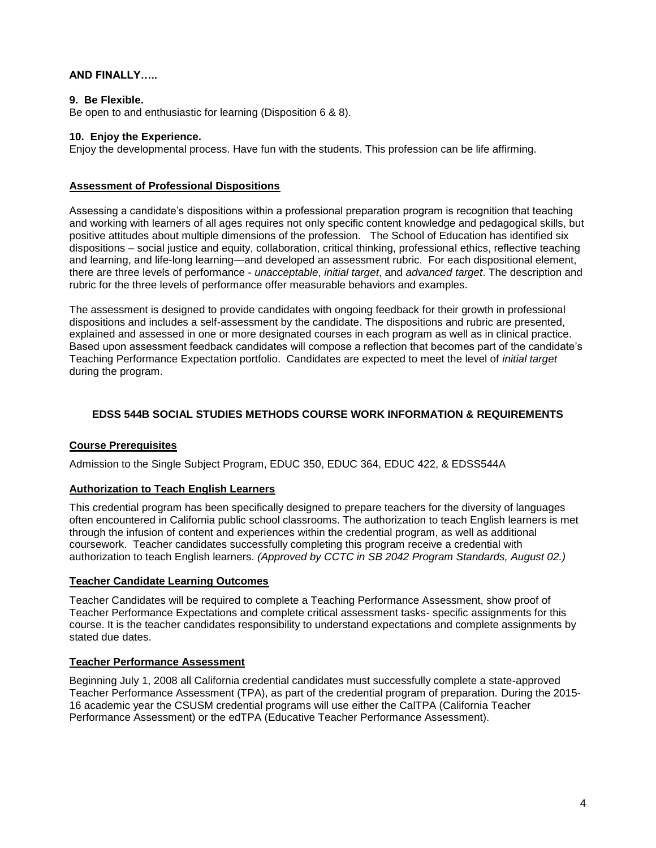# **AND FINALLY…..**

# **9. Be Flexible.**

Be open to and enthusiastic for learning (Disposition 6 & 8).

### **10. Enjoy the Experience.**

Enjoy the developmental process. Have fun with the students. This profession can be life affirming.

### **Assessment of Professional Dispositions**

Assessing a candidate's dispositions within a professional preparation program is recognition that teaching and working with learners of all ages requires not only specific content knowledge and pedagogical skills, but positive attitudes about multiple dimensions of the profession. The School of Education has identified six dispositions – social justice and equity, collaboration, critical thinking, professional ethics, reflective teaching and learning, and life-long learning—and developed an assessment rubric. For each dispositional element, there are three levels of performance - *unacceptable*, *initial target*, and *advanced target*. The description and rubric for the three levels of performance offer measurable behaviors and examples.

The assessment is designed to provide candidates with ongoing feedback for their growth in professional dispositions and includes a self-assessment by the candidate. The dispositions and rubric are presented, explained and assessed in one or more designated courses in each program as well as in clinical practice. Based upon assessment feedback candidates will compose a reflection that becomes part of the candidate's Teaching Performance Expectation portfolio. Candidates are expected to meet the level of *initial target* during the program.

# <span id="page-3-0"></span>**EDSS 544B SOCIAL STUDIES METHODS COURSE WORK INFORMATION & REQUIREMENTS**

# <span id="page-3-1"></span>**Course Prerequisites**

Admission to the Single Subject Program, EDUC 350, EDUC 364, EDUC 422, & EDSS544A

# <span id="page-3-2"></span>**Authorization to Teach English Learners**

This credential program has been specifically designed to prepare teachers for the diversity of languages often encountered in California public school classrooms. The authorization to teach English learners is met through the infusion of content and experiences within the credential program, as well as additional coursework. Teacher candidates successfully completing this program receive a credential with authorization to teach English learners. *(Approved by CCTC in SB 2042 Program Standards, August 02.)*

#### <span id="page-3-3"></span>**Teacher Candidate Learning Outcomes**

Teacher Candidates will be required to complete a Teaching Performance Assessment, show proof of Teacher Performance Expectations and complete critical assessment tasks- specific assignments for this course. It is the teacher candidates responsibility to understand expectations and complete assignments by stated due dates.

# <span id="page-3-4"></span>**Teacher Performance Assessment**

Beginning July 1, 2008 all California credential candidates must successfully complete a state-approved Teacher Performance Assessment (TPA), as part of the credential program of preparation. During the 2015- 16 academic year the CSUSM credential programs will use either the CalTPA (California Teacher Performance Assessment) or the edTPA (Educative Teacher Performance Assessment).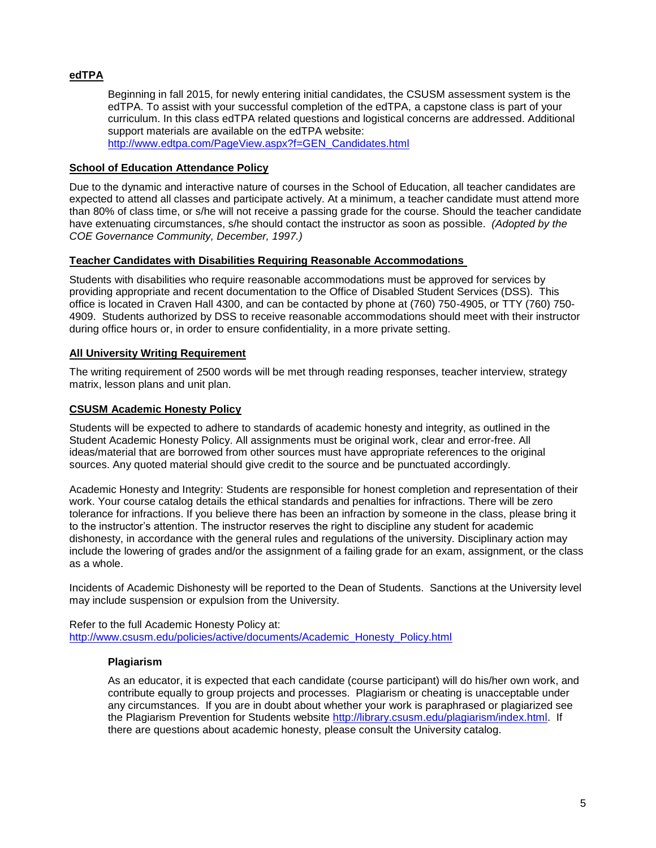# <span id="page-4-0"></span>**edTPA**

Beginning in fall 2015, for newly entering initial candidates, the CSUSM assessment system is the edTPA. To assist with your successful completion of the edTPA, a capstone class is part of your curriculum. In this class edTPA related questions and logistical concerns are addressed. Additional support materials are available on the edTPA website: [http://www.edtpa.com/PageView.aspx?f=GEN\\_Candidates.html](http://www.edtpa.com/PageView.aspx?f=GEN_Candidates.html)

### <span id="page-4-1"></span>**School of Education Attendance Policy**

Due to the dynamic and interactive nature of courses in the School of Education, all teacher candidates are expected to attend all classes and participate actively. At a minimum, a teacher candidate must attend more than 80% of class time, or s/he will not receive a passing grade for the course. Should the teacher candidate have extenuating circumstances, s/he should contact the instructor as soon as possible. *(Adopted by the COE Governance Community, December, 1997.)*

### <span id="page-4-2"></span>**Teacher Candidates with Disabilities Requiring Reasonable Accommodations**

Students with disabilities who require reasonable accommodations must be approved for services by providing appropriate and recent documentation to the Office of Disabled Student Services (DSS). This office is located in Craven Hall 4300, and can be contacted by phone at (760) 750-4905, or TTY (760) 750- 4909. Students authorized by DSS to receive reasonable accommodations should meet with their instructor during office hours or, in order to ensure confidentiality, in a more private setting.

### <span id="page-4-3"></span>**All University Writing Requirement**

The writing requirement of 2500 words will be met through reading responses, teacher interview, strategy matrix, lesson plans and unit plan.

# <span id="page-4-4"></span>**CSUSM Academic Honesty Policy**

Students will be expected to adhere to standards of academic honesty and integrity, as outlined in the Student Academic Honesty Policy. All assignments must be original work, clear and error-free. All ideas/material that are borrowed from other sources must have appropriate references to the original sources. Any quoted material should give credit to the source and be punctuated accordingly.

Academic Honesty and Integrity: Students are responsible for honest completion and representation of their work. Your course catalog details the ethical standards and penalties for infractions. There will be zero tolerance for infractions. If you believe there has been an infraction by someone in the class, please bring it to the instructor's attention. The instructor reserves the right to discipline any student for academic dishonesty, in accordance with the general rules and regulations of the university. Disciplinary action may include the lowering of grades and/or the assignment of a failing grade for an exam, assignment, or the class as a whole.

Incidents of Academic Dishonesty will be reported to the Dean of Students. Sanctions at the University level may include suspension or expulsion from the University.

<span id="page-4-5"></span>Refer to the full Academic Honesty Policy at: [http://www.csusm.edu/policies/active/documents/Academic\\_Honesty\\_Policy.html](http://www.csusm.edu/policies/active/documents/Academic_Honesty_Policy.html)

#### **Plagiarism**

As an educator, it is expected that each candidate (course participant) will do his/her own work, and contribute equally to group projects and processes. Plagiarism or cheating is unacceptable under any circumstances. If you are in doubt about whether your work is paraphrased or plagiarized see the Plagiarism Prevention for Students website [http://library.csusm.edu/plagiarism/index.html.](http://library.csusm.edu/plagiarism/index.html) If there are questions about academic honesty, please consult the University catalog.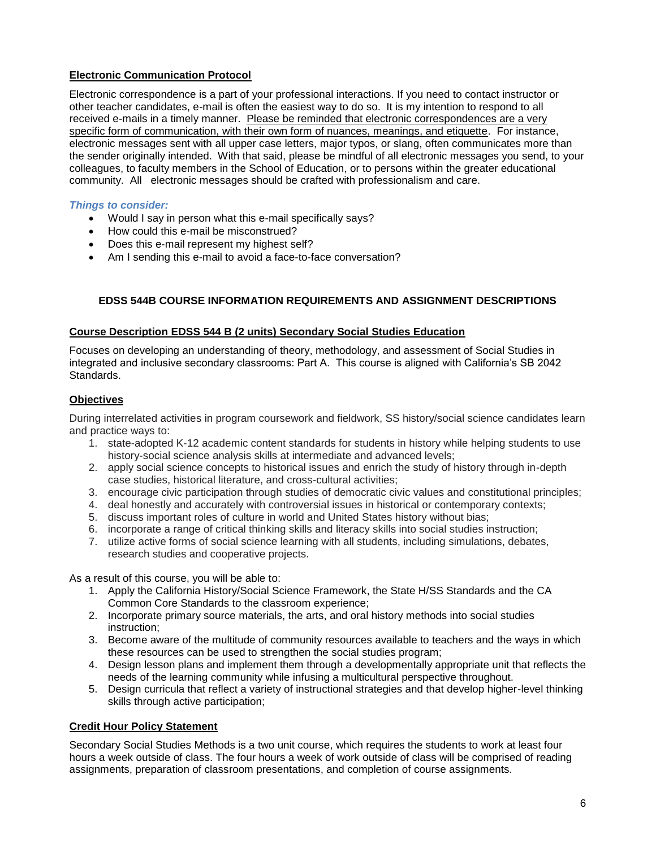# <span id="page-5-0"></span>**Electronic Communication Protocol**

Electronic correspondence is a part of your professional interactions. If you need to contact instructor or other teacher candidates, e-mail is often the easiest way to do so. It is my intention to respond to all received e-mails in a timely manner. Please be reminded that electronic correspondences are a very specific form of communication, with their own form of nuances, meanings, and etiquette. For instance, electronic messages sent with all upper case letters, major typos, or slang, often communicates more than the sender originally intended. With that said, please be mindful of all electronic messages you send, to your colleagues, to faculty members in the School of Education, or to persons within the greater educational community. All electronic messages should be crafted with professionalism and care.

# *Things to consider:*

- Would I say in person what this e-mail specifically says?
- How could this e-mail be misconstrued?
- Does this e-mail represent my highest self?
- Am I sending this e-mail to avoid a face-to-face conversation?

# <span id="page-5-1"></span>**EDSS 544B COURSE INFORMATION REQUIREMENTS AND ASSIGNMENT DESCRIPTIONS**

### <span id="page-5-2"></span>**Course Description EDSS 544 B (2 units) Secondary Social Studies Education**

Focuses on developing an understanding of theory, methodology, and assessment of Social Studies in integrated and inclusive secondary classrooms: Part A. This course is aligned with California's SB 2042 Standards.

# <span id="page-5-3"></span>**Objectives**

During interrelated activities in program coursework and fieldwork, SS history/social science candidates learn and practice ways to:

- 1. state-adopted K-12 academic content standards for students in history while helping students to use history-social science analysis skills at intermediate and advanced levels;
- 2. apply social science concepts to historical issues and enrich the study of history through in-depth case studies, historical literature, and cross-cultural activities;
- 3. encourage civic participation through studies of democratic civic values and constitutional principles;
- 4. deal honestly and accurately with controversial issues in historical or contemporary contexts;
- 5. discuss important roles of culture in world and United States history without bias;
- 6. incorporate a range of critical thinking skills and literacy skills into social studies instruction;
- 7. utilize active forms of social science learning with all students, including simulations, debates, research studies and cooperative projects.

As a result of this course, you will be able to:

- 1. Apply the California History/Social Science Framework, the State H/SS Standards and the CA Common Core Standards to the classroom experience;
- 2. Incorporate primary source materials, the arts, and oral history methods into social studies instruction;
- 3. Become aware of the multitude of community resources available to teachers and the ways in which these resources can be used to strengthen the social studies program;
- 4. Design lesson plans and implement them through a developmentally appropriate unit that reflects the needs of the learning community while infusing a multicultural perspective throughout.
- 5. Design curricula that reflect a variety of instructional strategies and that develop higher-level thinking skills through active participation;

# <span id="page-5-4"></span>**Credit Hour Policy Statement**

Secondary Social Studies Methods is a two unit course, which requires the students to work at least four hours a week outside of class. The four hours a week of work outside of class will be comprised of reading assignments, preparation of classroom presentations, and completion of course assignments.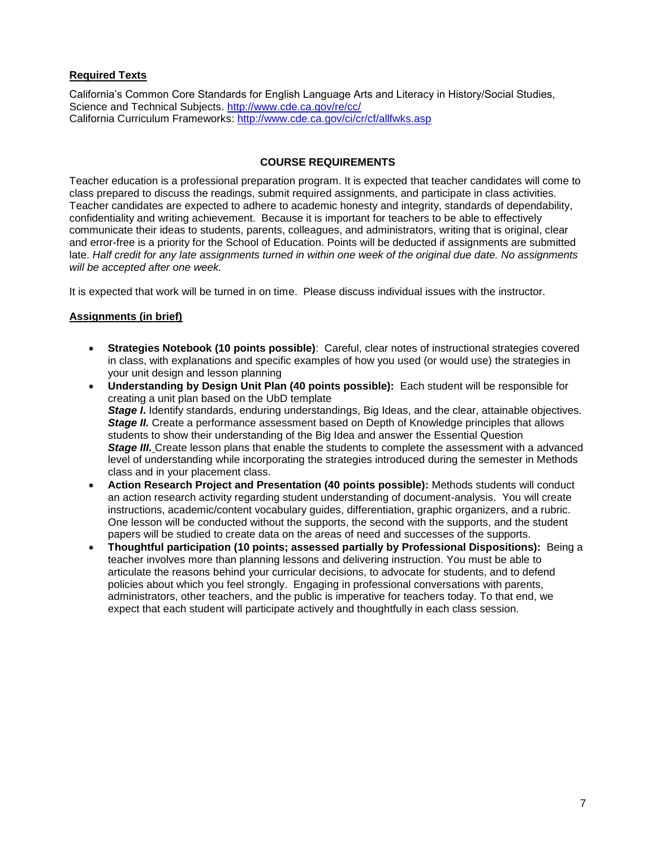# <span id="page-6-0"></span>**Required Texts**

California's Common Core Standards for English Language Arts and Literacy in History/Social Studies, Science and Technical Subjects.<http://www.cde.ca.gov/re/cc/> California Curriculum Frameworks:<http://www.cde.ca.gov/ci/cr/cf/allfwks.asp>

### **COURSE REQUIREMENTS**

<span id="page-6-1"></span>Teacher education is a professional preparation program. It is expected that teacher candidates will come to class prepared to discuss the readings, submit required assignments, and participate in class activities. Teacher candidates are expected to adhere to academic honesty and integrity, standards of dependability, confidentiality and writing achievement. Because it is important for teachers to be able to effectively communicate their ideas to students, parents, colleagues, and administrators, writing that is original, clear and error-free is a priority for the School of Education. Points will be deducted if assignments are submitted late. *Half credit for any late assignments turned in within one week of the original due date. No assignments will be accepted after one week.*

It is expected that work will be turned in on time. Please discuss individual issues with the instructor.

### <span id="page-6-2"></span>**Assignments (in brief)**

- **Strategies Notebook (10 points possible)**: Careful, clear notes of instructional strategies covered in class, with explanations and specific examples of how you used (or would use) the strategies in your unit design and lesson planning
- **Understanding by Design Unit Plan (40 points possible):** Each student will be responsible for creating a unit plan based on the UbD template **Stage I.** Identify standards, enduring understandings, Big Ideas, and the clear, attainable objectives. **Stage II.** Create a performance assessment based on Depth of Knowledge principles that allows students to show their understanding of the Big Idea and answer the Essential Question **Stage III.** Create lesson plans that enable the students to complete the assessment with a advanced level of understanding while incorporating the strategies introduced during the semester in Methods class and in your placement class.
- **Action Research Project and Presentation (40 points possible):** Methods students will conduct an action research activity regarding student understanding of document-analysis. You will create instructions, academic/content vocabulary guides, differentiation, graphic organizers, and a rubric. One lesson will be conducted without the supports, the second with the supports, and the student papers will be studied to create data on the areas of need and successes of the supports.
- **Thoughtful participation (10 points; assessed partially by Professional Dispositions):** Being a teacher involves more than planning lessons and delivering instruction. You must be able to articulate the reasons behind your curricular decisions, to advocate for students, and to defend policies about which you feel strongly. Engaging in professional conversations with parents, administrators, other teachers, and the public is imperative for teachers today. To that end, we expect that each student will participate actively and thoughtfully in each class session.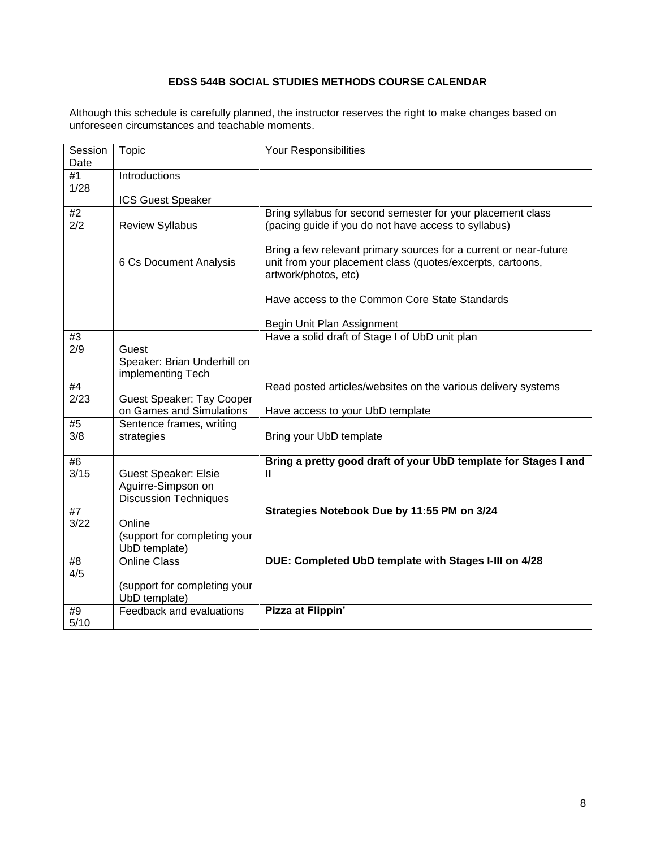# **EDSS 544B SOCIAL STUDIES METHODS COURSE CALENDAR**

<span id="page-7-0"></span>Although this schedule is carefully planned, the instructor reserves the right to make changes based on unforeseen circumstances and teachable moments.

| Session<br>Date | Topic                                                                             | Your Responsibilities                                                                                                                                   |  |
|-----------------|-----------------------------------------------------------------------------------|---------------------------------------------------------------------------------------------------------------------------------------------------------|--|
| #1              | Introductions                                                                     |                                                                                                                                                         |  |
| 1/28            | <b>ICS Guest Speaker</b>                                                          |                                                                                                                                                         |  |
| #2<br>2/2       | <b>Review Syllabus</b>                                                            | Bring syllabus for second semester for your placement class<br>(pacing guide if you do not have access to syllabus)                                     |  |
|                 | 6 Cs Document Analysis                                                            | Bring a few relevant primary sources for a current or near-future<br>unit from your placement class (quotes/excerpts, cartoons,<br>artwork/photos, etc) |  |
|                 |                                                                                   | Have access to the Common Core State Standards                                                                                                          |  |
|                 |                                                                                   | Begin Unit Plan Assignment                                                                                                                              |  |
| #3              |                                                                                   | Have a solid draft of Stage I of UbD unit plan                                                                                                          |  |
| 2/9             | Guest<br>Speaker: Brian Underhill on<br>implementing Tech                         |                                                                                                                                                         |  |
| #4              |                                                                                   | Read posted articles/websites on the various delivery systems                                                                                           |  |
| 2/23            | <b>Guest Speaker: Tay Cooper</b><br>on Games and Simulations                      | Have access to your UbD template                                                                                                                        |  |
| #5<br>3/8       | Sentence frames, writing<br>strategies                                            | Bring your UbD template                                                                                                                                 |  |
| #6              | Bring a pretty good draft of your UbD template for Stages I and                   |                                                                                                                                                         |  |
| 3/15            | <b>Guest Speaker: Elsie</b><br>Aguirre-Simpson on<br><b>Discussion Techniques</b> | Ш                                                                                                                                                       |  |
| #7              |                                                                                   | Strategies Notebook Due by 11:55 PM on 3/24                                                                                                             |  |
| 3/22            | Online<br>(support for completing your<br>UbD template)                           |                                                                                                                                                         |  |
| #8              | Online Class                                                                      | DUE: Completed UbD template with Stages I-III on 4/28                                                                                                   |  |
| 4/5             | (support for completing your<br>UbD template)                                     |                                                                                                                                                         |  |
| #9<br>5/10      | Feedback and evaluations                                                          | Pizza at Flippin'                                                                                                                                       |  |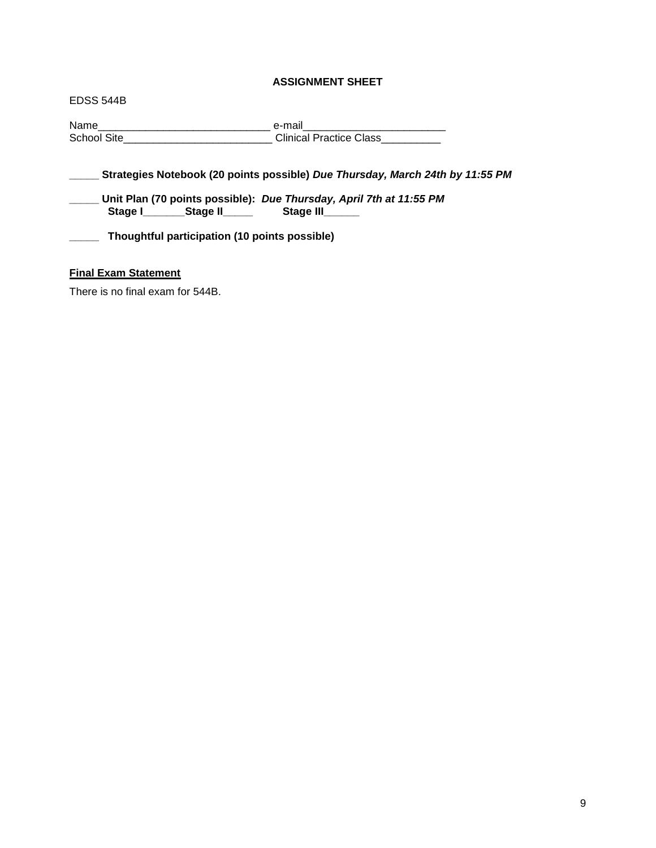# **ASSIGNMENT SHEET**

<span id="page-8-0"></span>EDSS 544B Name\_\_\_\_\_\_\_\_\_\_\_\_\_\_\_\_\_\_\_\_\_\_\_\_\_\_\_\_\_ e-mail\_\_\_\_\_\_\_\_\_\_\_\_\_\_\_\_\_\_\_\_\_\_\_\_ Clinical Practice Class **\_\_\_\_\_ Strategies Notebook (20 points possible)** *Due Thursday, March 24th by 11:55 PM* **\_\_\_\_\_ Unit Plan (70 points possible):** *Due Thursday, April 7th at 11:55 PM* Stage **I\_\_\_\_\_\_\_\_Stage II\_\_\_\_\_ \_\_\_\_\_ Thoughtful participation (10 points possible)**

# <span id="page-8-1"></span>**Final Exam Statement**

There is no final exam for 544B.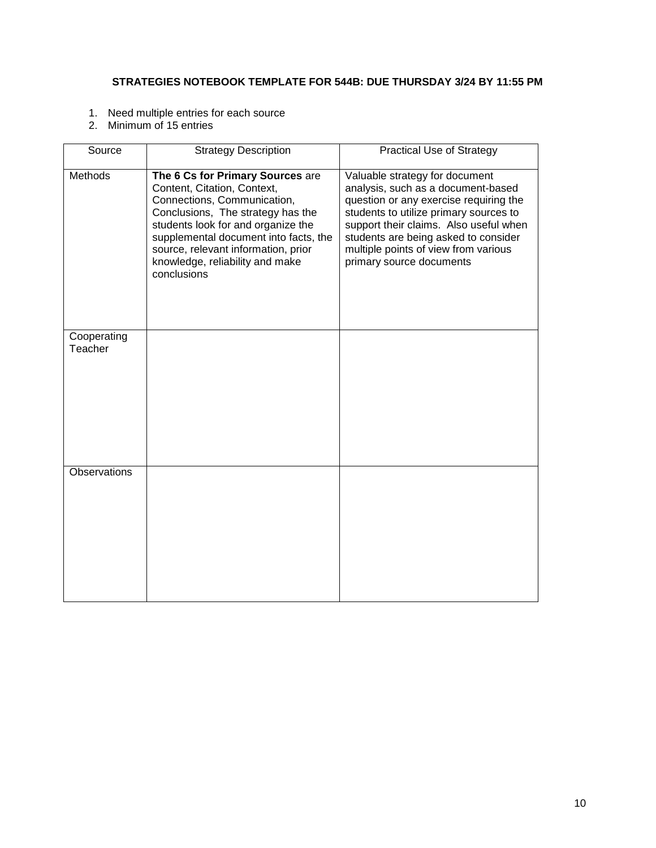# <span id="page-9-0"></span>**STRATEGIES NOTEBOOK TEMPLATE FOR 544B: DUE THURSDAY 3/24 BY 11:55 PM**

- 1. Need multiple entries for each source
- 2. Minimum of 15 entries

| Source                 | <b>Strategy Description</b>                                                                                                                                                                                                                                                                                 | <b>Practical Use of Strategy</b>                                                                                                                                                                                                                                                                               |
|------------------------|-------------------------------------------------------------------------------------------------------------------------------------------------------------------------------------------------------------------------------------------------------------------------------------------------------------|----------------------------------------------------------------------------------------------------------------------------------------------------------------------------------------------------------------------------------------------------------------------------------------------------------------|
| Methods                | The 6 Cs for Primary Sources are<br>Content, Citation, Context,<br>Connections, Communication,<br>Conclusions, The strategy has the<br>students look for and organize the<br>supplemental document into facts, the<br>source, relevant information, prior<br>knowledge, reliability and make<br>conclusions | Valuable strategy for document<br>analysis, such as a document-based<br>question or any exercise requiring the<br>students to utilize primary sources to<br>support their claims. Also useful when<br>students are being asked to consider<br>multiple points of view from various<br>primary source documents |
| Cooperating<br>Teacher |                                                                                                                                                                                                                                                                                                             |                                                                                                                                                                                                                                                                                                                |
| Observations           |                                                                                                                                                                                                                                                                                                             |                                                                                                                                                                                                                                                                                                                |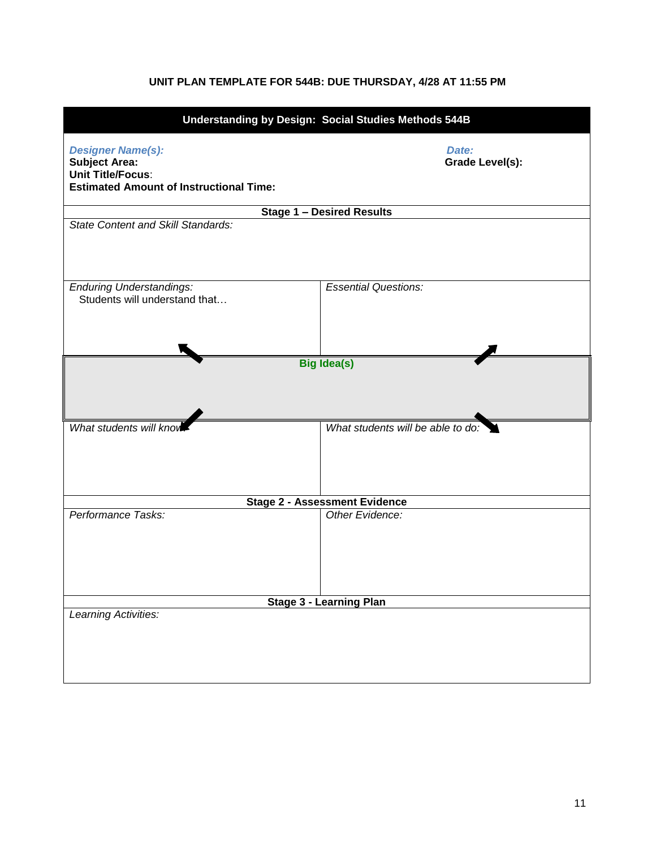# **UNIT PLAN TEMPLATE FOR 544B: DUE THURSDAY, 4/28 AT 11:55 PM**

<span id="page-10-1"></span><span id="page-10-0"></span>

| Understanding by Design: Social Studies Methods 544B                                                                           |                                      |  |  |  |
|--------------------------------------------------------------------------------------------------------------------------------|--------------------------------------|--|--|--|
| <b>Designer Name(s):</b><br><b>Subject Area:</b><br><b>Unit Title/Focus:</b><br><b>Estimated Amount of Instructional Time:</b> | Date:<br>Grade Level(s):             |  |  |  |
|                                                                                                                                | <b>Stage 1 - Desired Results</b>     |  |  |  |
| <b>State Content and Skill Standards:</b>                                                                                      |                                      |  |  |  |
| <b>Enduring Understandings:</b><br>Students will understand that                                                               | <b>Essential Questions:</b>          |  |  |  |
|                                                                                                                                | <b>Big Idea(s)</b>                   |  |  |  |
|                                                                                                                                |                                      |  |  |  |
| What students will kno                                                                                                         | What students will be able to do:    |  |  |  |
|                                                                                                                                | <b>Stage 2 - Assessment Evidence</b> |  |  |  |
| Performance Tasks:                                                                                                             | Other Evidence:                      |  |  |  |
| <b>Stage 3 - Learning Plan</b>                                                                                                 |                                      |  |  |  |
| Learning Activities:                                                                                                           |                                      |  |  |  |